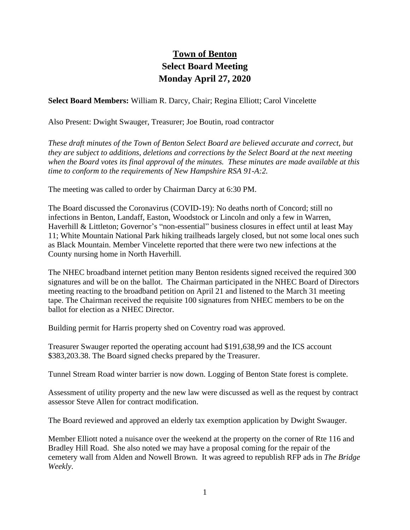## **Town of Benton Select Board Meeting Monday April 27, 2020**

**Select Board Members:** William R. Darcy, Chair; Regina Elliott; Carol Vincelette

Also Present: Dwight Swauger, Treasurer; Joe Boutin, road contractor

*These draft minutes of the Town of Benton Select Board are believed accurate and correct, but they are subject to additions, deletions and corrections by the Select Board at the next meeting when the Board votes its final approval of the minutes. These minutes are made available at this time to conform to the requirements of New Hampshire RSA 91-A:2.*

The meeting was called to order by Chairman Darcy at 6:30 PM.

The Board discussed the Coronavirus (COVID-19): No deaths north of Concord; still no infections in Benton, Landaff, Easton, Woodstock or Lincoln and only a few in Warren, Haverhill & Littleton; Governor's "non-essential" business closures in effect until at least May 11; White Mountain National Park hiking trailheads largely closed, but not some local ones such as Black Mountain. Member Vincelette reported that there were two new infections at the County nursing home in North Haverhill.

The NHEC broadband internet petition many Benton residents signed received the required 300 signatures and will be on the ballot. The Chairman participated in the NHEC Board of Directors meeting reacting to the broadband petition on April 21 and listened to the March 31 meeting tape. The Chairman received the requisite 100 signatures from NHEC members to be on the ballot for election as a NHEC Director.

Building permit for Harris property shed on Coventry road was approved.

Treasurer Swauger reported the operating account had \$191,638,99 and the ICS account \$383,203.38. The Board signed checks prepared by the Treasurer.

Tunnel Stream Road winter barrier is now down. Logging of Benton State forest is complete.

Assessment of utility property and the new law were discussed as well as the request by contract assessor Steve Allen for contract modification.

The Board reviewed and approved an elderly tax exemption application by Dwight Swauger.

Member Elliott noted a nuisance over the weekend at the property on the corner of Rte 116 and Bradley Hill Road. She also noted we may have a proposal coming for the repair of the cemetery wall from Alden and Nowell Brown. It was agreed to republish RFP ads in *The Bridge Weekly*.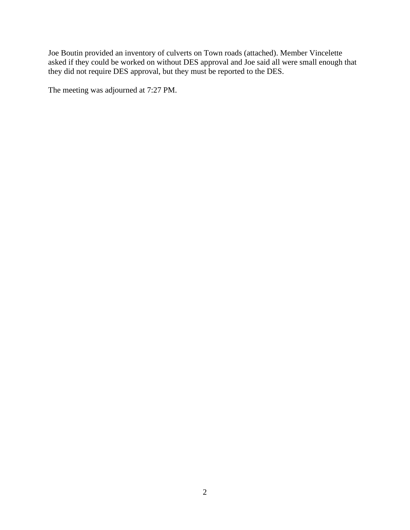Joe Boutin provided an inventory of culverts on Town roads (attached). Member Vincelette asked if they could be worked on without DES approval and Joe said all were small enough that they did not require DES approval, but they must be reported to the DES.

The meeting was adjourned at 7:27 PM.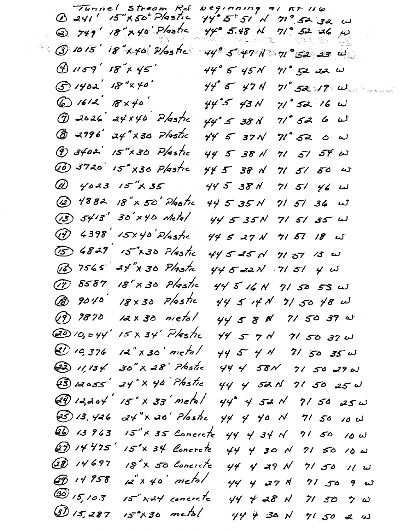Stream Rd Tunnel  $begin{array}{ccccc} & & & \text{if } & \text{if } & \text{if } & \text{if } & \text{if } & \text{if } & \text{if } & \text{if } & \text{if } & \text{if } & \text{if } & \text{if } & \text{if } & \text{if } & \text{if } & \text{if } & \text{if } & \text{if } & \text{if } & \text{if } & \text{if } & \text{if } & \text{if } & \text{if } & \text{if } & \text{if } & \text{if } & \text{if } & \text{if } & \text{if } & \text{if } & \text{if } & \text{if } & \text{if } & \text{if } &$  $15''$  $X50'$  Plastic  $44.5.51$  $N$  71° 52 32  $U$  $\omega$  241' 2 749' 18" x 40 Plastic  $44° 5.48 M$  $71°$  52 26 w  $\frac{1}{2m}$  .  $\sim$  3 10 15' 18" x 40' Plos to  $\sim$  44° 5 47 N  $\sim$  11° 52 23 W  $9.1159'$   $18''$ x  $45'$  $44°$  5  $45%$  $71°$  52 22  $\omega$  $G1402' 18'840'$  $44°$  5  $47$  N  $71°$  52 12  $\omega$  $601612'8740'$  $44.5$  43 N  $71°$  52 16 W  $Q$  2026 24×40 Plastic  $44°$  5 38 k 71° 52 6 W  $&8$  2996 24" x30 Plastic  $445371$  $71°$  52 0  $\omega$  $(9)$  3402 15"x 30 Plastic 44 5 38 N 71 51 54 W WD 3720 15" x30 Plastic  $445.38$  N  $715150$  w (A) 4023 15"X35  $44538N$  $715146 u$ (12) 4882 18" x 50' Plastic  $715736$  w  $44535N$  $(3)$   $54/3$  $30'$ x40 Metal  $44535N$  $715135$  W (1) 4398 15x40 Plastic  $445271$  $715718$  W (5) 6829 15"x30 Plastic  $44525$  N  $7137/3$  w 16 7565 24" x 30 Plastic  $445321 715140$ (17) 8587 18" x 30 Plastic 44 5 16 N 71 50 53 W @ 9040 18x30 Plastic  $445141775048$  $12x30$  metal  $(19) 9870$  $44588$  7/50 39 W 6010,044 15 x 34 Plastic  $44520$  $715037$  w  $20, 10, 376$  $12"$  x 30' metal  $44541$  71 50 35 W 30" × 28' Plastic  $(22)$  11, 13 4  $44$  4 58N  $715029w$ 24" × 40 Plastic  $(3)$  12055 44 4 52N 71 50 25 W  $15x^2 \times 33$  metal  $(39)$  12,204  $44^{\circ}$  4 52 N  $2150250$  $(25)$  13, 426  $a4''$ x 20' Plastic  $44$  4 40 N  $7150$ **ىن 20** Q 13963  $15'' \times 35$  Concrete  $44$  4 34  $\sqrt{ }$  $71.50$  $10U$ QD 14475' 15'x 34 Concrete  $44$  4 30 N  $7150100$  $\widehat{28}$  14697 18<sup>°</sup>X 50 Concrete  $44$  4 29 N  $715011$ 69 14 958  $12x + 40$  metal  $44$  4 27 N  $71,50,9$  w  $\circledS$  15, 103  $15 - x24$  concrete  $44$  4 28 N  $715070$ 3) 15,287 15<sup>°</sup>X30 metal  $444$   $430$   $N$  $71,50$  2  $\omega$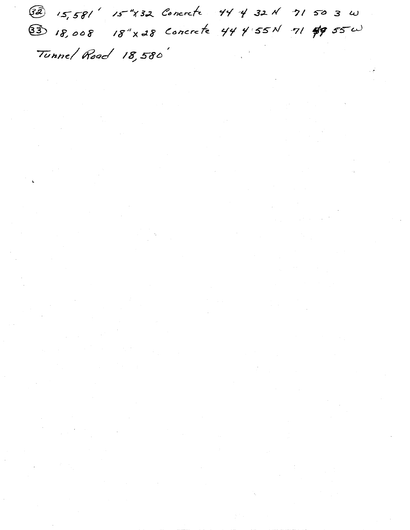Ta 15,581' 15"x32 Concrete 44 4 32 N 71 50 3 W 83 18,008 18"x28 Concrete 44 4 55N 71 #9 55W Tunne/Road 18,580